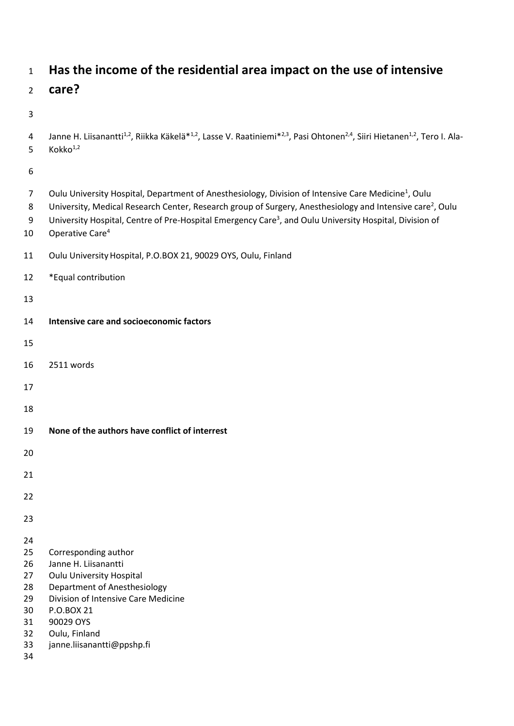# **Has the income of the residential area impact on the use of intensive**

## **care?**

## 

4 Janne H. Liisanantti<sup>1,2</sup>, Riikka Käkelä\*<sup>1,2</sup>, Lasse V. Raatiniemi\*<sup>2,3</sup>, Pasi Ohtonen<sup>2,4</sup>, Siiri Hietanen<sup>1,2</sup>, Tero I. Ala-5  $Kokko<sup>1,2</sup>$ 

| Oulu University Hospital, Department of Anesthesiology, Division of Intensive Care Medicine <sup>1</sup> , Oulu<br>University, Medical Research Center, Research group of Surgery, Anesthesiology and Intensive care <sup>2</sup> , Oulu<br>University Hospital, Centre of Pre-Hospital Emergency Care <sup>3</sup> , and Oulu University Hospital, Division of<br>Operative Care <sup>4</sup> |
|------------------------------------------------------------------------------------------------------------------------------------------------------------------------------------------------------------------------------------------------------------------------------------------------------------------------------------------------------------------------------------------------|
| Oulu University Hospital, P.O.BOX 21, 90029 OYS, Oulu, Finland                                                                                                                                                                                                                                                                                                                                 |
| *Equal contribution                                                                                                                                                                                                                                                                                                                                                                            |
|                                                                                                                                                                                                                                                                                                                                                                                                |
| Intensive care and socioeconomic factors                                                                                                                                                                                                                                                                                                                                                       |
|                                                                                                                                                                                                                                                                                                                                                                                                |
| 2511 words                                                                                                                                                                                                                                                                                                                                                                                     |
|                                                                                                                                                                                                                                                                                                                                                                                                |
|                                                                                                                                                                                                                                                                                                                                                                                                |
| None of the authors have conflict of interrest                                                                                                                                                                                                                                                                                                                                                 |
|                                                                                                                                                                                                                                                                                                                                                                                                |
|                                                                                                                                                                                                                                                                                                                                                                                                |
|                                                                                                                                                                                                                                                                                                                                                                                                |
|                                                                                                                                                                                                                                                                                                                                                                                                |
| Corresponding author<br>Janne H. Liisanantti<br><b>Oulu University Hospital</b><br>Department of Anesthesiology<br>Division of Intensive Care Medicine<br>P.O.BOX 21<br>90029 OYS<br>Oulu, Finland<br>janne.liisanantti@ppshp.fi                                                                                                                                                               |
|                                                                                                                                                                                                                                                                                                                                                                                                |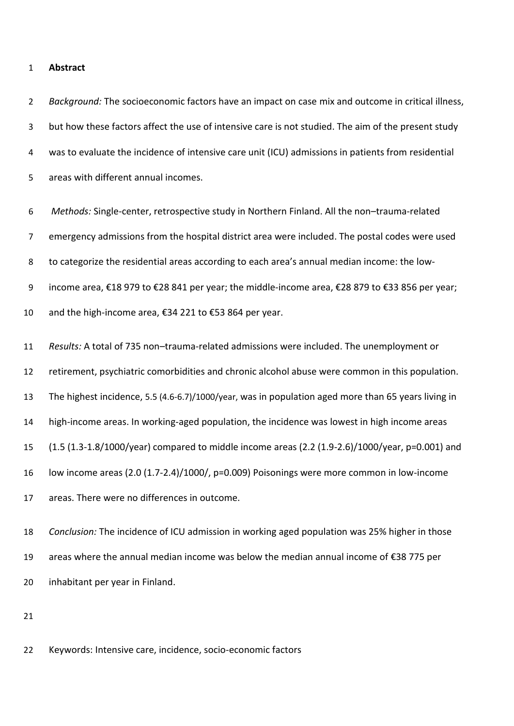#### **Abstract**

 *Background:* The socioeconomic factors have an impact on case mix and outcome in critical illness, but how these factors affect the use of intensive care is not studied. The aim of the present study was to evaluate the incidence of intensive care unit (ICU) admissions in patients from residential areas with different annual incomes.

 *Methods:* Single-center, retrospective study in Northern Finland. All the non–trauma-related emergency admissions from the hospital district area were included. The postal codes were used to categorize the residential areas according to each area's annual median income: the low- income area, €18 979 to €28 841 per year; the middle-income area, €28 879 to €33 856 per year; and the high-income area, €34 221 to €53 864 per year. *Results:* A total of 735 non–trauma-related admissions were included. The unemployment or retirement, psychiatric comorbidities and chronic alcohol abuse were common in this population.

The highest incidence, 5.5 (4.6-6.7)/1000/year, was in population aged more than 65 years living in

high-income areas. In working-aged population, the incidence was lowest in high income areas

(1.5 (1.3-1.8/1000/year) compared to middle income areas (2.2 (1.9-2.6)/1000/year, p=0.001) and

low income areas (2.0 (1.7-2.4)/1000/, p=0.009) Poisonings were more common in low-income

areas. There were no differences in outcome.

 *Conclusion:* The incidence of ICU admission in working aged population was 25% higher in those areas where the annual median income was below the median annual income of €38 775 per inhabitant per year in Finland.

Keywords: Intensive care, incidence, socio-economic factors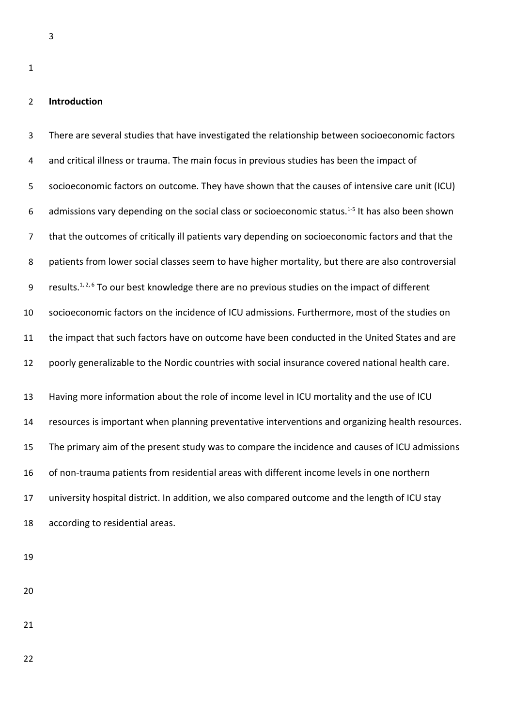### **Introduction**

 There are several studies that have investigated the relationship between socioeconomic factors and critical illness or trauma. The main focus in previous studies has been the impact of socioeconomic factors on outcome. They have shown that the causes of intensive care unit (ICU) 6 admissions vary depending on the social class or socioeconomic status.<sup>1-5</sup> It has also been shown that the outcomes of critically ill patients vary depending on socioeconomic factors and that the patients from lower social classes seem to have higher mortality, but there are also controversial 9 results.<sup>1, 2, 6</sup> To our best knowledge there are no previous studies on the impact of different socioeconomic factors on the incidence of ICU admissions. Furthermore, most of the studies on the impact that such factors have on outcome have been conducted in the United States and are poorly generalizable to the Nordic countries with social insurance covered national health care. Having more information about the role of income level in ICU mortality and the use of ICU resources is important when planning preventative interventions and organizing health resources. The primary aim of the present study was to compare the incidence and causes of ICU admissions of non-trauma patients from residential areas with different income levels in one northern university hospital district. In addition, we also compared outcome and the length of ICU stay according to residential areas.

- 
- 
- 
-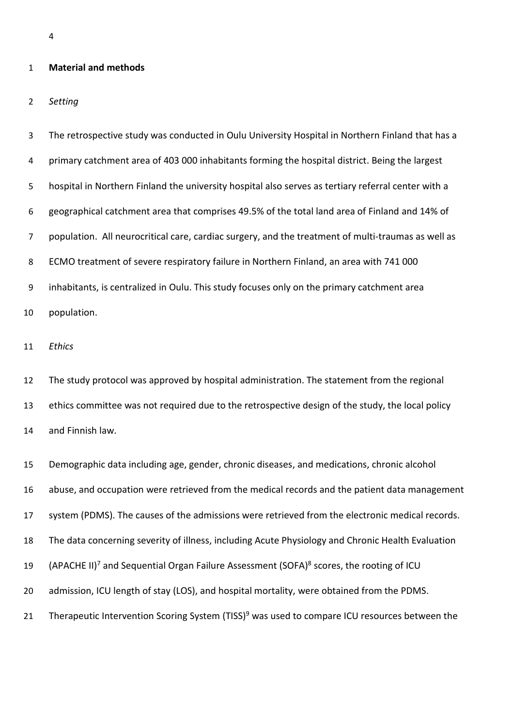#### **Material and methods**

*Setting*

 The retrospective study was conducted in Oulu University Hospital in Northern Finland that has a primary catchment area of 403 000 inhabitants forming the hospital district. Being the largest hospital in Northern Finland the university hospital also serves as tertiary referral center with a geographical catchment area that comprises 49.5% of the total land area of Finland and 14% of population. All neurocritical care, cardiac surgery, and the treatment of multi-traumas as well as ECMO treatment of severe respiratory failure in Northern Finland, an area with 741 000 inhabitants, is centralized in Oulu. This study focuses only on the primary catchment area population.

*Ethics*

 The study protocol was approved by hospital administration. The statement from the regional ethics committee was not required due to the retrospective design of the study, the local policy and Finnish law.

 Demographic data including age, gender, chronic diseases, and medications, chronic alcohol abuse, and occupation were retrieved from the medical records and the patient data management system (PDMS). The causes of the admissions were retrieved from the electronic medical records. The data concerning severity of illness, including Acute Physiology and Chronic Health Evaluation 19 (APACHE II)<sup>7</sup> and Sequential Organ Failure Assessment (SOFA)<sup>8</sup> scores, the rooting of ICU 20 admission, ICU length of stay (LOS), and hospital mortality, were obtained from the PDMS. 21 Therapeutic Intervention Scoring System (TISS)<sup>9</sup> was used to compare ICU resources between the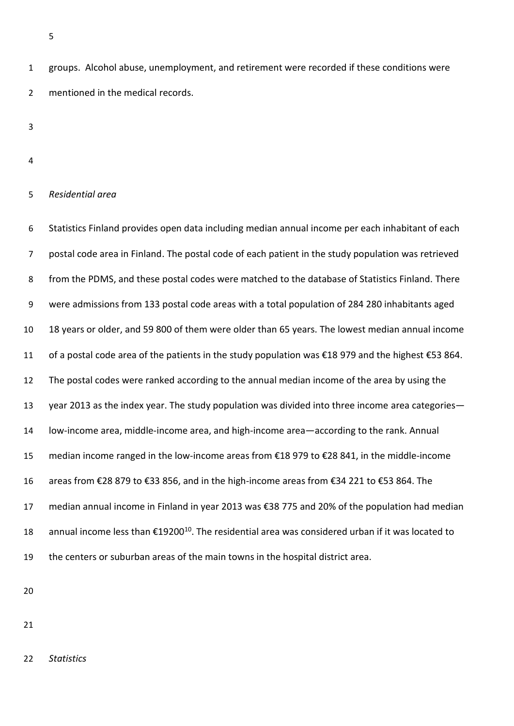groups. Alcohol abuse, unemployment, and retirement were recorded if these conditions were mentioned in the medical records.

#### *Residential area*

 Statistics Finland provides open data including median annual income per each inhabitant of each postal code area in Finland. The postal code of each patient in the study population was retrieved from the PDMS, and these postal codes were matched to the database of Statistics Finland. There were admissions from 133 postal code areas with a total population of 284 280 inhabitants aged 18 years or older, and 59 800 of them were older than 65 years. The lowest median annual income of a postal code area of the patients in the study population was €18 979 and the highest €53 864. The postal codes were ranked according to the annual median income of the area by using the year 2013 as the index year. The study population was divided into three income area categories— low-income area, middle-income area, and high-income area—according to the rank. Annual median income ranged in the low-income areas from €18 979 to €28 841, in the middle-income areas from €28 879 to €33 856, and in the high-income areas from €34 221 to €53 864. The median annual income in Finland in year 2013 was €38 775 and 20% of the population had median 18 annual income less than €19200<sup>10</sup>. The residential area was considered urban if it was located to the centers or suburban areas of the main towns in the hospital district area.

*Statistics*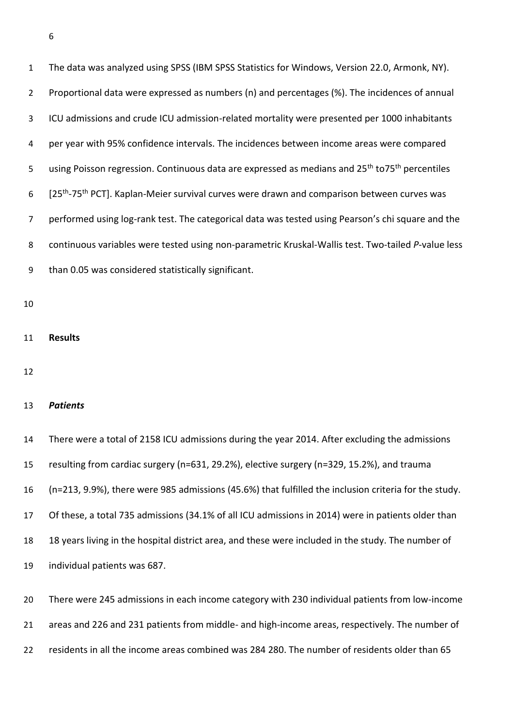The data was analyzed using SPSS (IBM SPSS Statistics for Windows, Version 22.0, Armonk, NY). Proportional data were expressed as numbers (n) and percentages (%). The incidences of annual ICU admissions and crude ICU admission-related mortality were presented per 1000 inhabitants per year with 95% confidence intervals. The incidences between income areas were compared 5 using Poisson regression. Continuous data are expressed as medians and 25<sup>th</sup> to75<sup>th</sup> percentiles 6 [25<sup>th</sup>-75<sup>th</sup> PCT]. Kaplan-Meier survival curves were drawn and comparison between curves was performed using log-rank test. The categorical data was tested using Pearson's chi square and the continuous variables were tested using non-parametric Kruskal-Wallis test. Two-tailed *P*-value less than 0.05 was considered statistically significant.

- 
- **Results**
- 

### *Patients*

 There were a total of 2158 ICU admissions during the year 2014. After excluding the admissions resulting from cardiac surgery (n=631, 29.2%), elective surgery (n=329, 15.2%), and trauma (n=213, 9.9%), there were 985 admissions (45.6%) that fulfilled the inclusion criteria for the study. Of these, a total 735 admissions (34.1% of all ICU admissions in 2014) were in patients older than 18 years living in the hospital district area, and these were included in the study. The number of individual patients was 687.

 There were 245 admissions in each income category with 230 individual patients from low-income areas and 226 and 231 patients from middle- and high-income areas, respectively. The number of residents in all the income areas combined was 284 280. The number of residents older than 65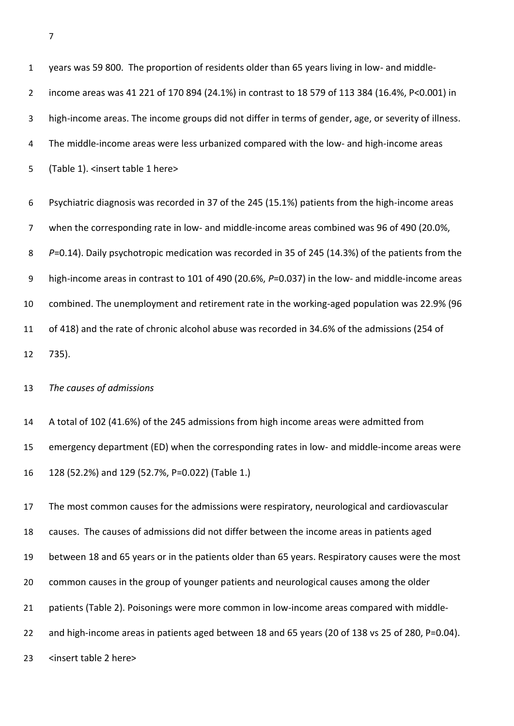| $\mathbf{1}$   | years was 59 800. The proportion of residents older than 65 years living in low- and middle-         |
|----------------|------------------------------------------------------------------------------------------------------|
| $\overline{2}$ | income areas was 41 221 of 170 894 (24.1%) in contrast to 18 579 of 113 384 (16.4%, P<0.001) in      |
| 3              | high-income areas. The income groups did not differ in terms of gender, age, or severity of illness. |
| 4              | The middle-income areas were less urbanized compared with the low- and high-income areas             |
| 5              | (Table 1). <insert 1="" here="" table=""></insert>                                                   |
| 6              | Psychiatric diagnosis was recorded in 37 of the 245 (15.1%) patients from the high-income areas      |
| $\overline{7}$ | when the corresponding rate in low- and middle-income areas combined was 96 of 490 (20.0%,           |
| 8              | P=0.14). Daily psychotropic medication was recorded in 35 of 245 (14.3%) of the patients from the    |
| 9              | high-income areas in contrast to 101 of 490 (20.6%, P=0.037) in the low- and middle-income areas     |
| 10             | combined. The unemployment and retirement rate in the working-aged population was 22.9% (96          |
| 11             | of 418) and the rate of chronic alcohol abuse was recorded in 34.6% of the admissions (254 of        |
| 12             | 735).                                                                                                |
| 13             | The causes of admissions                                                                             |
| 14             | A total of 102 (41.6%) of the 245 admissions from high income areas were admitted from               |
| 15             | emergency department (ED) when the corresponding rates in low- and middle-income areas were          |
| 16             | 128 (52.2%) and 129 (52.7%, P=0.022) (Table 1.)                                                      |
| 17             | The most common causes for the admissions were respiratory, neurological and cardiovascular          |
| 18             | causes. The causes of admissions did not differ between the income areas in patients aged            |

between 18 and 65 years or in the patients older than 65 years. Respiratory causes were the most

common causes in the group of younger patients and neurological causes among the older

patients (Table 2). Poisonings were more common in low-income areas compared with middle-

and high-income areas in patients aged between 18 and 65 years (20 of 138 vs 25 of 280, P=0.04).

<insert table 2 here>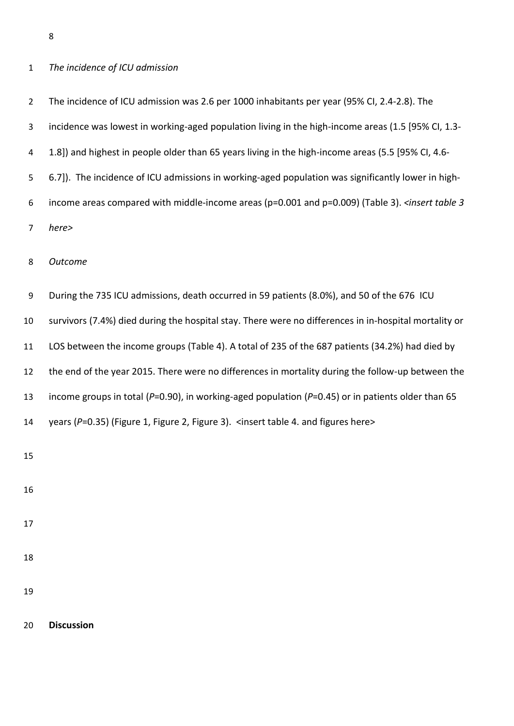## *The incidence of ICU admission*

| $\overline{2}$ | The incidence of ICU admission was 2.6 per 1000 inhabitants per year (95% CI, 2.4-2.8). The                            |
|----------------|------------------------------------------------------------------------------------------------------------------------|
| 3              | incidence was lowest in working-aged population living in the high-income areas (1.5 [95% CI, 1.3-                     |
| 4              | 1.8]) and highest in people older than 65 years living in the high-income areas (5.5 [95% CI, 4.6-                     |
| 5              | 6.7]). The incidence of ICU admissions in working-aged population was significantly lower in high-                     |
| 6              | income areas compared with middle-income areas (p=0.001 and p=0.009) (Table 3). <insert 3<="" table="" td=""></insert> |
| 7              | here>                                                                                                                  |
| 8              | Outcome                                                                                                                |
| 9              | During the 735 ICU admissions, death occurred in 59 patients (8.0%), and 50 of the 676 ICU                             |
| 10             | survivors (7.4%) died during the hospital stay. There were no differences in in-hospital mortality or                  |
| 11             | LOS between the income groups (Table 4). A total of 235 of the 687 patients (34.2%) had died by                        |
| 12             | the end of the year 2015. There were no differences in mortality during the follow-up between the                      |
| 13             | income groups in total ( $P=0.90$ ), in working-aged population ( $P=0.45$ ) or in patients older than 65              |
| 14             | years (P=0.35) (Figure 1, Figure 2, Figure 3). <insert 4.="" and="" figures="" here="" table=""></insert>              |
| 15             |                                                                                                                        |
| 16             |                                                                                                                        |
| 17             |                                                                                                                        |
| 18             |                                                                                                                        |
| 19             |                                                                                                                        |

**Discussion**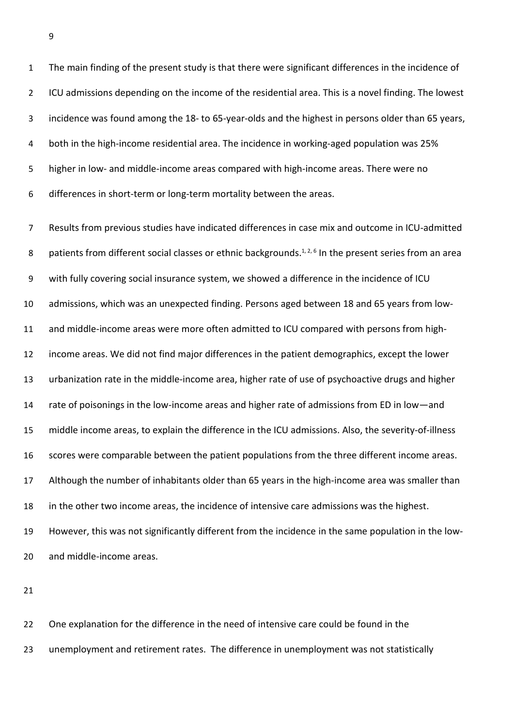The main finding of the present study is that there were significant differences in the incidence of 2 ICU admissions depending on the income of the residential area. This is a novel finding. The lowest incidence was found among the 18- to 65-year-olds and the highest in persons older than 65 years, both in the high-income residential area. The incidence in working-aged population was 25% higher in low- and middle-income areas compared with high-income areas. There were no differences in short-term or long-term mortality between the areas.

 Results from previous studies have indicated differences in case mix and outcome in ICU-admitted 8 patients from different social classes or ethnic backgrounds.<sup>1, 2, 6</sup> In the present series from an area with fully covering social insurance system, we showed a difference in the incidence of ICU admissions, which was an unexpected finding. Persons aged between 18 and 65 years from low- and middle-income areas were more often admitted to ICU compared with persons from high- income areas. We did not find major differences in the patient demographics, except the lower urbanization rate in the middle-income area, higher rate of use of psychoactive drugs and higher 14 rate of poisonings in the low-income areas and higher rate of admissions from ED in low—and middle income areas, to explain the difference in the ICU admissions. Also, the severity-of-illness scores were comparable between the patient populations from the three different income areas. Although the number of inhabitants older than 65 years in the high-income area was smaller than in the other two income areas, the incidence of intensive care admissions was the highest. However, this was not significantly different from the incidence in the same population in the low-and middle-income areas.

 One explanation for the difference in the need of intensive care could be found in the unemployment and retirement rates. The difference in unemployment was not statistically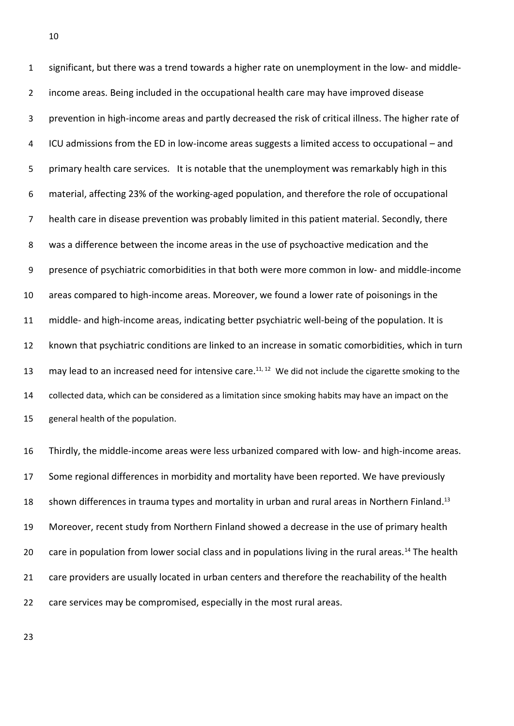significant, but there was a trend towards a higher rate on unemployment in the low- and middle- income areas. Being included in the occupational health care may have improved disease prevention in high-income areas and partly decreased the risk of critical illness. The higher rate of ICU admissions from the ED in low-income areas suggests a limited access to occupational – and primary health care services. It is notable that the unemployment was remarkably high in this material, affecting 23% of the working-aged population, and therefore the role of occupational health care in disease prevention was probably limited in this patient material. Secondly, there was a difference between the income areas in the use of psychoactive medication and the presence of psychiatric comorbidities in that both were more common in low- and middle-income areas compared to high-income areas. Moreover, we found a lower rate of poisonings in the middle- and high-income areas, indicating better psychiatric well-being of the population. It is known that psychiatric conditions are linked to an increase in somatic comorbidities, which in turn 13 may lead to an increased need for intensive care.<sup>11, 12</sup> We did not include the cigarette smoking to the collected data, which can be considered as a limitation since smoking habits may have an impact on the general health of the population.

 Thirdly, the middle-income areas were less urbanized compared with low- and high-income areas. Some regional differences in morbidity and mortality have been reported. We have previously 18 shown differences in trauma types and mortality in urban and rural areas in Northern Finland.<sup>13</sup> Moreover, recent study from Northern Finland showed a decrease in the use of primary health 20 care in population from lower social class and in populations living in the rural areas.<sup>14</sup> The health 21 care providers are usually located in urban centers and therefore the reachability of the health care services may be compromised, especially in the most rural areas.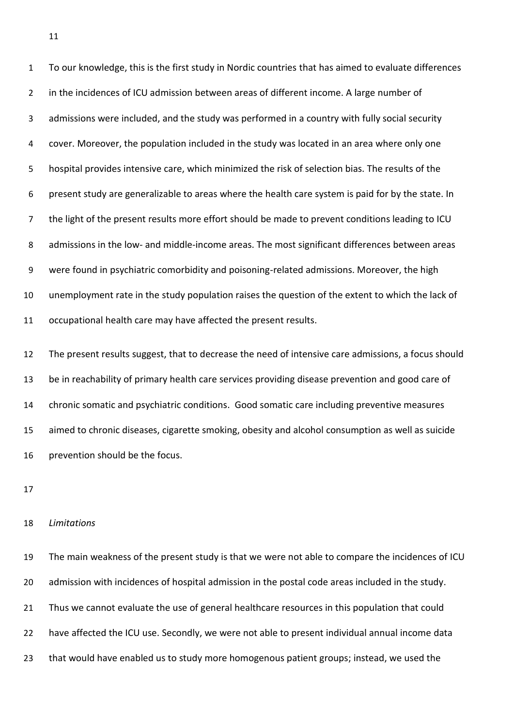To our knowledge, this is the first study in Nordic countries that has aimed to evaluate differences 2 in the incidences of ICU admission between areas of different income. A large number of admissions were included, and the study was performed in a country with fully social security cover. Moreover, the population included in the study was located in an area where only one hospital provides intensive care, which minimized the risk of selection bias. The results of the present study are generalizable to areas where the health care system is paid for by the state. In the light of the present results more effort should be made to prevent conditions leading to ICU admissions in the low- and middle-income areas. The most significant differences between areas were found in psychiatric comorbidity and poisoning-related admissions. Moreover, the high unemployment rate in the study population raises the question of the extent to which the lack of occupational health care may have affected the present results.

 The present results suggest, that to decrease the need of intensive care admissions, a focus should be in reachability of primary health care services providing disease prevention and good care of chronic somatic and psychiatric conditions. Good somatic care including preventive measures aimed to chronic diseases, cigarette smoking, obesity and alcohol consumption as well as suicide prevention should be the focus.

#### *Limitations*

 The main weakness of the present study is that we were not able to compare the incidences of ICU admission with incidences of hospital admission in the postal code areas included in the study. Thus we cannot evaluate the use of general healthcare resources in this population that could have affected the ICU use. Secondly, we were not able to present individual annual income data that would have enabled us to study more homogenous patient groups; instead, we used the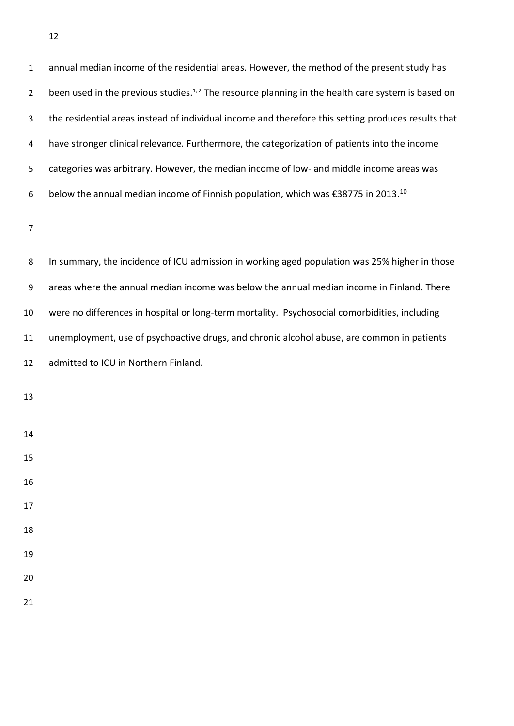| $\mathbf{1}$   | annual median income of the residential areas. However, the method of the present study has                                |
|----------------|----------------------------------------------------------------------------------------------------------------------------|
| $\overline{2}$ | been used in the previous studies. <sup><math>1,2</math></sup> The resource planning in the health care system is based on |
| 3              | the residential areas instead of individual income and therefore this setting produces results that                        |
| 4              | have stronger clinical relevance. Furthermore, the categorization of patients into the income                              |
| 5              | categories was arbitrary. However, the median income of low- and middle income areas was                                   |
| 6              | below the annual median income of Finnish population, which was €38775 in 2013. <sup>10</sup>                              |

 In summary, the incidence of ICU admission in working aged population was 25% higher in those areas where the annual median income was below the annual median income in Finland. There were no differences in hospital or long-term mortality. Psychosocial comorbidities, including unemployment, use of psychoactive drugs, and chronic alcohol abuse, are common in patients admitted to ICU in Northern Finland.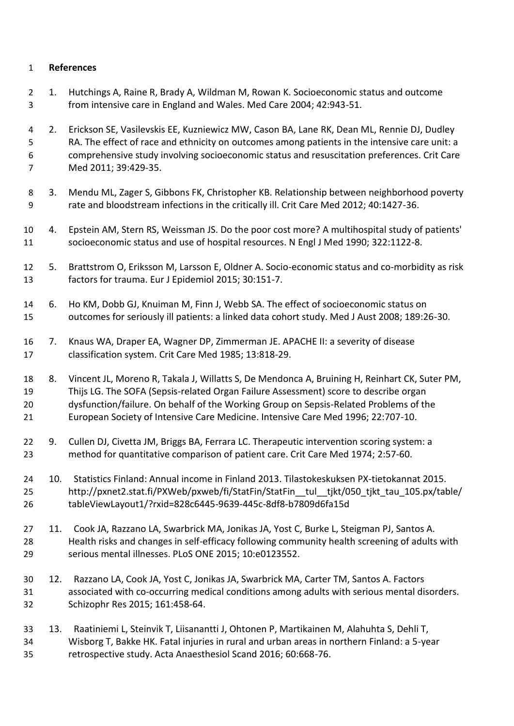## **References**

- 1. Hutchings A, Raine R, Brady A, Wildman M, Rowan K. Socioeconomic status and outcome from intensive care in England and Wales. Med Care 2004; 42:943-51.
- 2. Erickson SE, Vasilevskis EE, Kuzniewicz MW, Cason BA, Lane RK, Dean ML, Rennie DJ, Dudley RA. The effect of race and ethnicity on outcomes among patients in the intensive care unit: a comprehensive study involving socioeconomic status and resuscitation preferences. Crit Care Med 2011; 39:429-35.
- 3. Mendu ML, Zager S, Gibbons FK, Christopher KB. Relationship between neighborhood poverty rate and bloodstream infections in the critically ill. Crit Care Med 2012; 40:1427-36.
- 4. Epstein AM, Stern RS, Weissman JS. Do the poor cost more? A multihospital study of patients' socioeconomic status and use of hospital resources. N Engl J Med 1990; 322:1122-8.
- 5. Brattstrom O, Eriksson M, Larsson E, Oldner A. Socio-economic status and co-morbidity as risk factors for trauma. Eur J Epidemiol 2015; 30:151-7.
- 6. Ho KM, Dobb GJ, Knuiman M, Finn J, Webb SA. The effect of socioeconomic status on outcomes for seriously ill patients: a linked data cohort study. Med J Aust 2008; 189:26-30.
- 7. Knaus WA, Draper EA, Wagner DP, Zimmerman JE. APACHE II: a severity of disease classification system. Crit Care Med 1985; 13:818-29.
- 8. Vincent JL, Moreno R, Takala J, Willatts S, De Mendonca A, Bruining H, Reinhart CK, Suter PM, Thijs LG. The SOFA (Sepsis-related Organ Failure Assessment) score to describe organ dysfunction/failure. On behalf of the Working Group on Sepsis-Related Problems of the European Society of Intensive Care Medicine. Intensive Care Med 1996; 22:707-10.
- 22 9. Cullen DJ, Civetta JM, Briggs BA, Ferrara LC. Therapeutic intervention scoring system: a method for quantitative comparison of patient care. Crit Care Med 1974; 2:57-60.
- 10. Statistics Finland: Annual income in Finland 2013. Tilastokeskuksen PX-tietokannat 2015. 25 http://pxnet2.stat.fi/PXWeb/pxweb/fi/StatFin/StatFin\_tul\_tjkt/050\_tjkt\_tau\_105.px/table/ tableViewLayout1/?rxid=828c6445-9639-445c-8df8-b7809d6fa15d
- 11. Cook JA, Razzano LA, Swarbrick MA, Jonikas JA, Yost C, Burke L, Steigman PJ, Santos A. Health risks and changes in self-efficacy following community health screening of adults with serious mental illnesses. PLoS ONE 2015; 10:e0123552.
- 12. Razzano LA, Cook JA, Yost C, Jonikas JA, Swarbrick MA, Carter TM, Santos A. Factors associated with co-occurring medical conditions among adults with serious mental disorders. Schizophr Res 2015; 161:458-64.
- 13. Raatiniemi L, Steinvik T, Liisanantti J, Ohtonen P, Martikainen M, Alahuhta S, Dehli T, Wisborg T, Bakke HK. Fatal injuries in rural and urban areas in northern Finland: a 5-year retrospective study. Acta Anaesthesiol Scand 2016; 60:668-76.